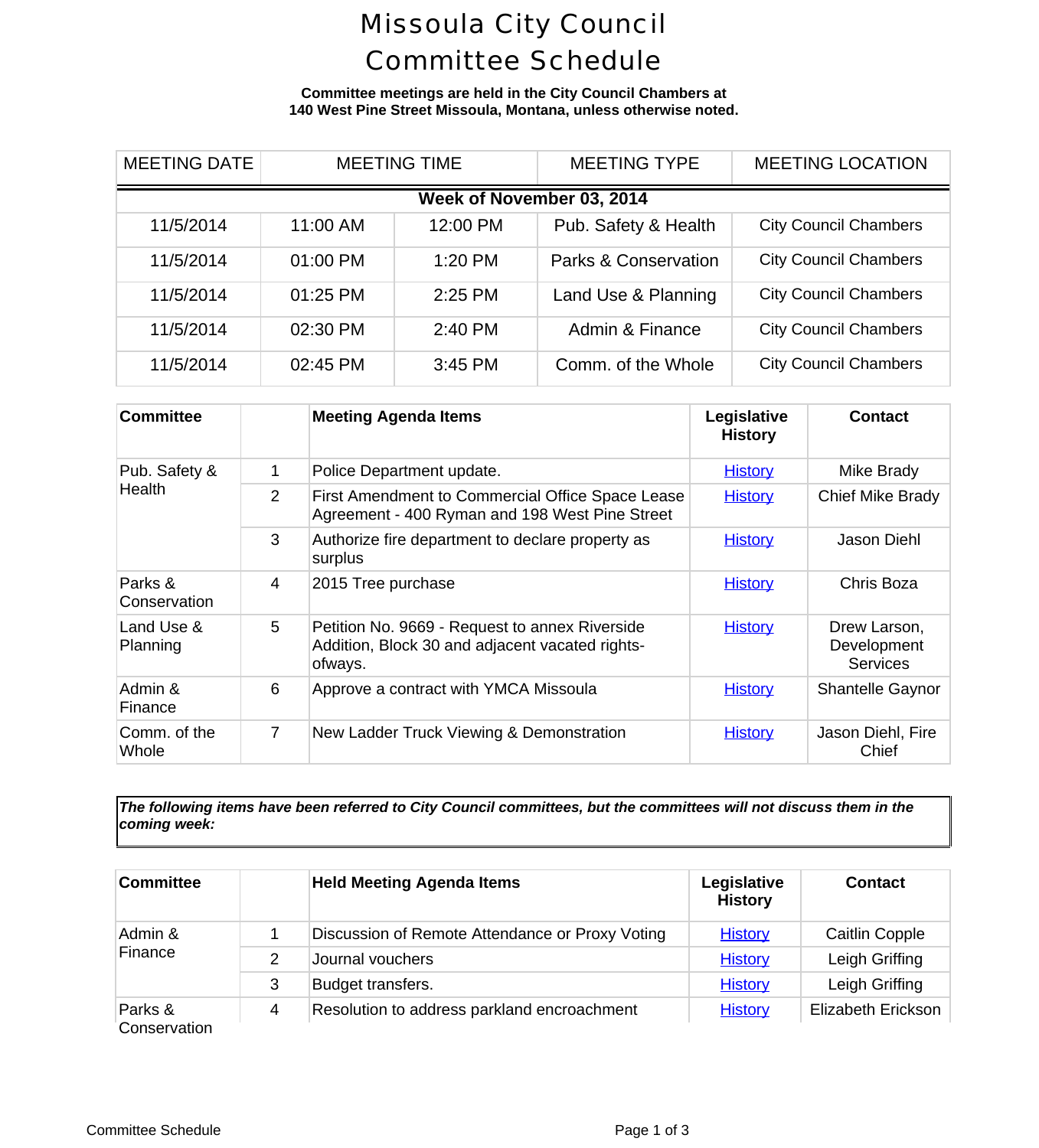## Missoula City Council Committee Schedule

**Committee meetings are held in the City Council Chambers at 140 West Pine Street Missoula, Montana, unless otherwise noted.**

| <b>MEETING DATE</b>       | <b>MEETING TIME</b> |          | <b>MEETING TYPE</b>             |                          | <b>MEETING LOCA</b> |  |  |
|---------------------------|---------------------|----------|---------------------------------|--------------------------|---------------------|--|--|
| Week of November 03, 2014 |                     |          |                                 |                          |                     |  |  |
| 11/5/2014                 | 11:00 AM            | 12:00 PM | Pub. Safety & Health            | <b>City Council Cham</b> |                     |  |  |
| 11/5/2014                 | 01:00 PM            | 1:20 PM  | <b>Parks &amp; Conservation</b> | <b>City Council Cham</b> |                     |  |  |
| 11/5/2014                 | 01:25 PM            | 2:25 PM  | Land Use & Planning             | <b>City Council Cham</b> |                     |  |  |
| 11/5/2014                 | 02:30 PM            | 2:40 PM  | Admin & Finance                 | <b>City Council Cham</b> |                     |  |  |
| 11/5/2014                 | 02:45 PM            | 3:45 PM  | Comm. of the Whole              | <b>City Council Cham</b> |                     |  |  |

| <b>Committee</b>        |                | <b>Meeting Agenda Items</b>                                                                                  | Legislative<br><b>History</b> | Cont                         |
|-------------------------|----------------|--------------------------------------------------------------------------------------------------------------|-------------------------------|------------------------------|
| Pub. Safety &           | 1              | Police Department update.                                                                                    | <b>History</b>                | Mike B                       |
| Health                  | $\overline{2}$ | First Amendment to Commercial Office Space Lease<br>Agreement - 400 Ryman and 198 West Pine Street           | <b>History</b>                | <b>Chief Mike</b>            |
|                         | 3              | Authorize fire department to declare property as<br>surplus                                                  | <b>History</b>                | Jason                        |
| Parks &<br>Conservation | 4              | 2015 Tree purchase                                                                                           | <b>History</b>                | Chris E                      |
| Land Use &<br>Planning  | 5              | Petition No. 9669 - Request to annex Riverside<br>Addition, Block 30 and adjacent vacated rights-<br>ofways. | <b>History</b>                | Drew La<br>Develop<br>Servid |
| Admin &<br>Finance      | 6              | Approve a contract with YMCA Missoula                                                                        | <b>History</b>                | Shantelle                    |
| Comm. of the<br>Whole   | $\overline{7}$ | New Ladder Truck Viewing & Demonstration                                                                     | <b>History</b>                | <b>Jason Die</b><br>Chio     |

*The following items have been referred to City Council committees, but the committees will not discuss them in the coming week:*

| Committee               |   | <b>Held Meeting Agenda Items</b>                | Legislative<br><b>History</b> | Conta       |
|-------------------------|---|-------------------------------------------------|-------------------------------|-------------|
| Admin &                 |   | Discussion of Remote Attendance or Proxy Voting | <b>History</b>                | Caitlin C   |
| Finance                 | 2 | Journal vouchers                                | <b>History</b>                | Leigh Gr    |
|                         | 3 | Budget transfers.                               | <b>History</b>                | Leigh Gr    |
| Parks &<br>Conservation | 4 | Resolution to address parkland encroachment     | <b>History</b>                | Elizabeth E |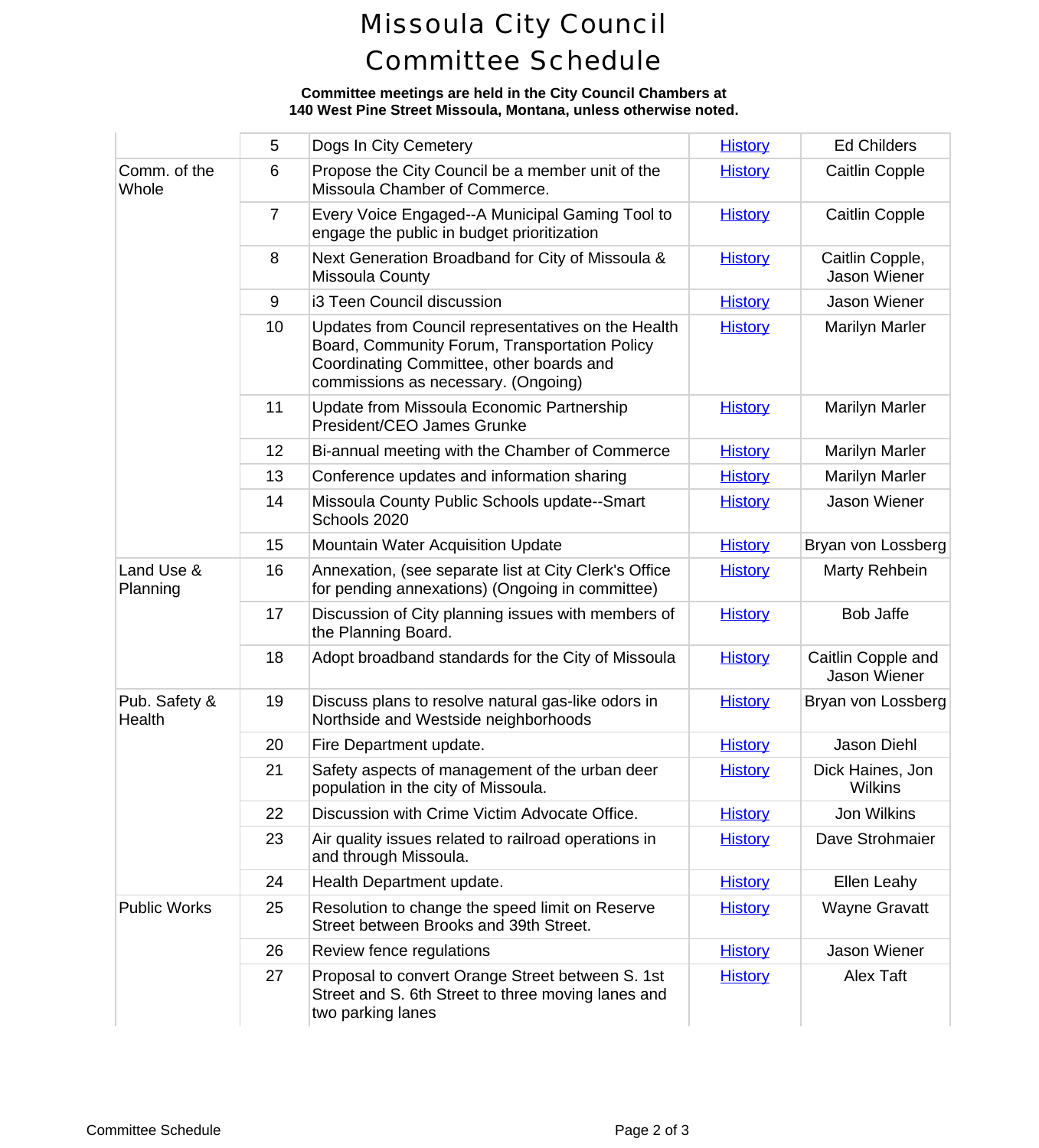# Missoula City Council Committee Schedule

### **Committee meetings are held in the City Council Chambers at 140 West Pine Street Missoula, Montana, unless otherwise noted.**

|                         | 5              | Dogs In City Cemetery                                                                                                                                                                  | <b>History</b> | Ed Chile                    |
|-------------------------|----------------|----------------------------------------------------------------------------------------------------------------------------------------------------------------------------------------|----------------|-----------------------------|
| Comm. of the<br>Whole   | 6              | Propose the City Council be a member unit of the<br>Missoula Chamber of Commerce.                                                                                                      | <b>History</b> | Caitlin C                   |
|                         | $\overline{7}$ | Every Voice Engaged--A Municipal Gaming Tool to<br>engage the public in budget prioritization                                                                                          | <b>History</b> | Caitlin C                   |
|                         | 8              | Next Generation Broadband for City of Missoula &<br><b>Missoula County</b>                                                                                                             | <b>History</b> | Caitlin Co<br>Jason W       |
|                         | 9              | i3 Teen Council discussion                                                                                                                                                             | <b>History</b> | Jason W                     |
|                         | 10             | Updates from Council representatives on the Health<br>Board, Community Forum, Transportation Policy<br>Coordinating Committee, other boards and<br>commissions as necessary. (Ongoing) | <b>History</b> | Marilyn N                   |
|                         | 11             | Update from Missoula Economic Partnership<br>President/CEO James Grunke                                                                                                                | <b>History</b> | Marilyn N                   |
|                         | 12             | Bi-annual meeting with the Chamber of Commerce                                                                                                                                         | <b>History</b> | Marilyn N                   |
|                         | 13             | Conference updates and information sharing                                                                                                                                             | <b>History</b> | Marilyn N                   |
|                         | 14             | Missoula County Public Schools update--Smart<br>Schools 2020                                                                                                                           | <b>History</b> | Jason W                     |
|                         | 15             | <b>Mountain Water Acquisition Update</b>                                                                                                                                               | <b>History</b> | Bryan von L                 |
| Land Use &<br>Planning  | 16             | Annexation, (see separate list at City Clerk's Office<br>for pending annexations) (Ongoing in committee)                                                                               | <b>History</b> | Marty Re                    |
|                         | 17             | Discussion of City planning issues with members of<br>the Planning Board.                                                                                                              | <b>History</b> | Bob Ja                      |
|                         | 18             | Adopt broadband standards for the City of Missoula                                                                                                                                     | <b>History</b> | Caitlin Cop<br>Jason W      |
| Pub. Safety &<br>Health | 19             | Discuss plans to resolve natural gas-like odors in<br>Northside and Westside neighborhoods                                                                                             | <b>History</b> | Bryan von L                 |
|                         | 20             | Fire Department update.                                                                                                                                                                | <b>History</b> | Jason D                     |
|                         | 21             | Safety aspects of management of the urban deer<br>population in the city of Missoula.                                                                                                  | <b>History</b> | <b>Dick Haine</b><br>Wilkir |
|                         | 22             | Discussion with Crime Victim Advocate Office.                                                                                                                                          | <b>History</b> | Jon Wil                     |
|                         | 23             | Air quality issues related to railroad operations in<br>and through Missoula.                                                                                                          | <b>History</b> | Dave Stro                   |
|                         | 24             | Health Department update.                                                                                                                                                              | <b>History</b> | Ellen Le                    |
| <b>Public Works</b>     | 25             | Resolution to change the speed limit on Reserve<br>Street between Brooks and 39th Street.                                                                                              | <b>History</b> | Wayne G                     |
|                         | 26             | Review fence regulations                                                                                                                                                               | <b>History</b> | Jason W                     |
|                         | 27             | Proposal to convert Orange Street between S. 1st<br>Street and S. 6th Street to three moving lanes and<br>two parking lanes                                                            | <b>History</b> | Alex T                      |